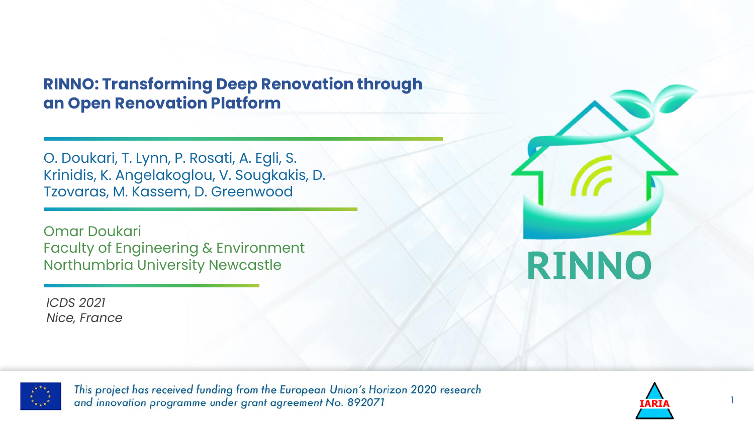### **RINNO: Transforming Deep Renovation through an Open Renovation Platform**

O. Doukari, T. Lynn, P. Rosati, A. Egli, S. Krinidis, K. Angelakoglou, V. Sougkakis, D. Tzovaras, M. Kassem, D. Greenwood

Omar Doukari Faculty of Engineering & Environment Northumbria University Newcastle

*ICDS 2021 Nice, France*





This project has received funding from the European Union's Horizon 2020 research and innovation programme under grant agreement No. 892071

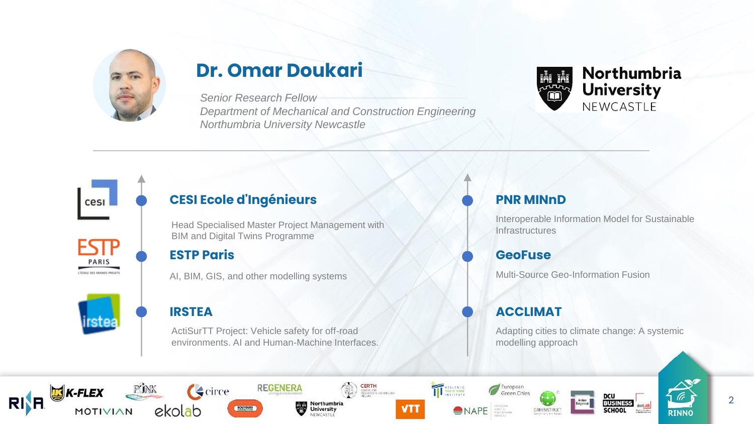

### **Dr. Omar Doukari**

*Senior Research Fellow Department of Mechanical and Construction Engineering Northumbria University Newcastle*





PARIS L'ÉCOLE DES GRANDS PROJETS

### **CESI Ecole d'Ingénieurs**

Head Specialised Master Project Management with BIM and Digital Twins Programme

### **ESTP Paris**

AI, BIM, GIS, and other modelling systems

### **IRSTEA**

ActiSurTT Project: Vehicle safety for off-road environments. AI and Human-Machine Interfaces.

### **PNR MINnD**

Interoperable Information Model for Sustainable **Infrastructures** 

### **GeoFuse**

Multi-Source Geo-Information Fusion

### **ACCLIMAT**

Adapting cities to climate change: A systemic modelling approach















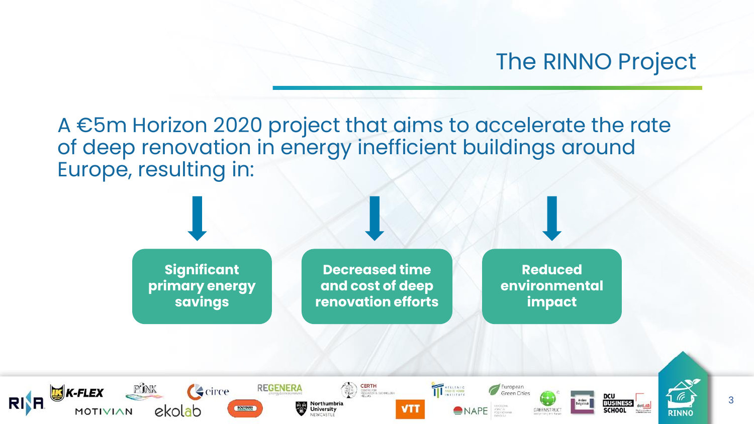## The RINNO Project

A €5m Horizon 2020 project that aims to accelerate the rate of deep renovation in energy inefficient buildings around Europe, resulting in:



**Decreased time and cost of deep renovation efforts**

**Reduced environmental impact**

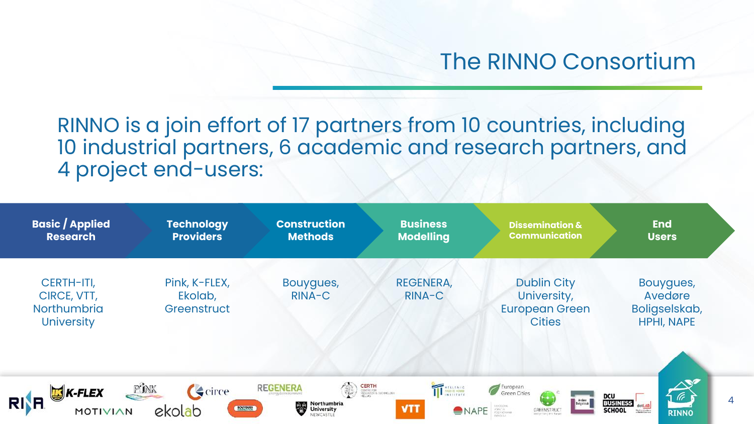## The RINNO Consortium

RINNO is a join effort of 17 partners from 10 countries, including 10 industrial partners, 6 academic and research partners, and 4 project end-users:

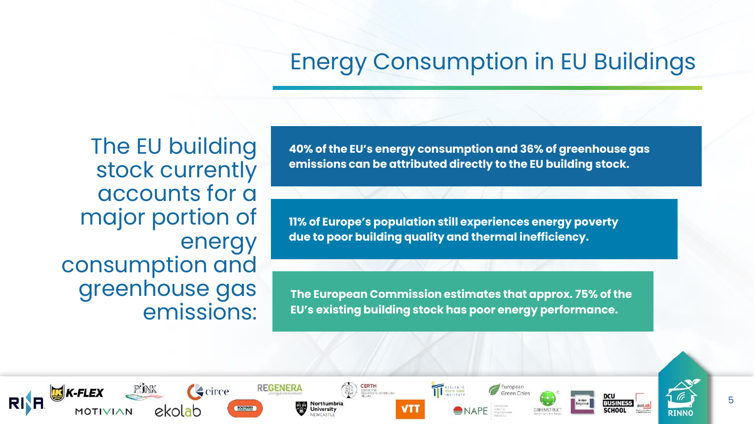## Energy Consumption in EU Buildings

The EU building stock currently accounts for a major portion of energy consumption and greenhouse gas emissions:

**RINH** 

**40% of the EU's energy consumption and 36% of greenhouse gas emissions can be attributed directly to the EU building stock.**

**11% of Europe's population still experiences energy poverty due to poor building quality and thermal inefficiency.** 

**The European Commission estimates that approx. 75% of the EU's existing building stock has poor energy performance.**

TT MARK HOME

European<br>Green Cities

 $\left(\begin{matrix} \mathbf{C} \\ \mathbf{D} \end{matrix}\right)$  dentity is represented.

Northumbria

**REGENERA** 

 $\blacktriangle$  circe

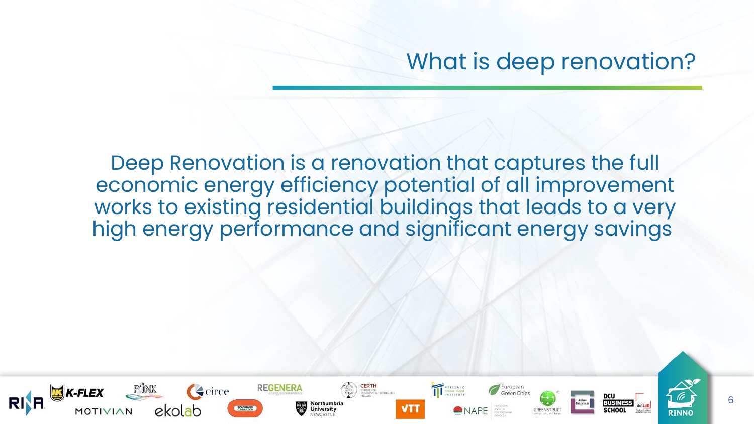## What is deep renovation?

Deep Renovation is a renovation that captures the full economic energy efficiency potential of all improvement works to existing residential buildings that leads to a very high energy performance and significant energy savings

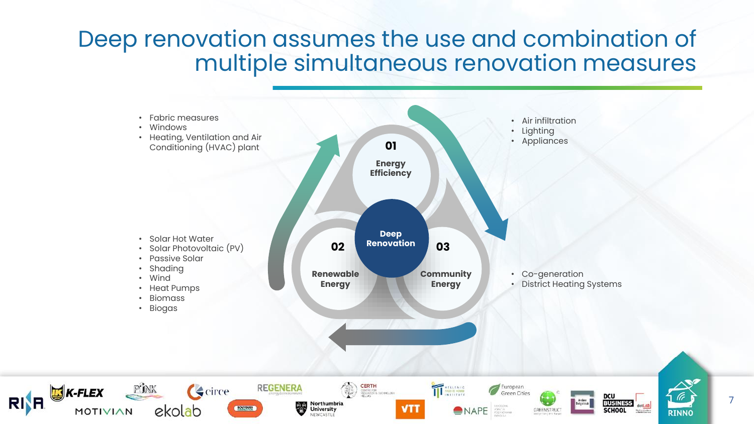## Deep renovation assumes the use and combination of multiple simultaneous renovation measures



**RI**<sub>R</sub>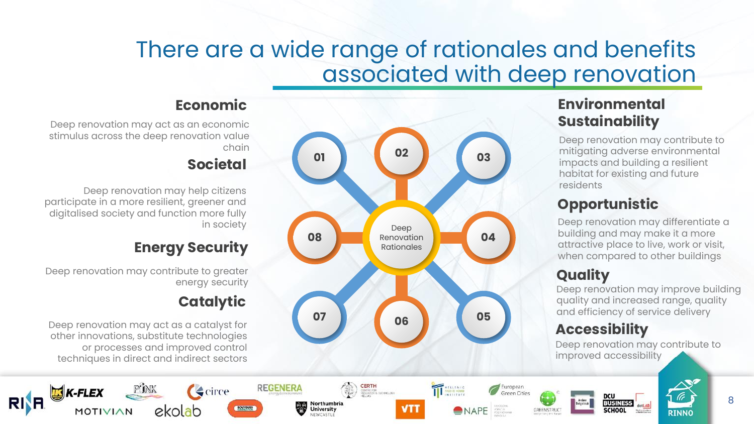## There are a wide range of rationales and benefits associated with deep renovation

### **Economic**

Deep renovation may act as an economic stimulus across the deep renovation value chain

### **Societal**

Deep renovation may help citizens participate in a more resilient, greener and digitalised society and function more fully in society

### **Energy Security**

Deep renovation may contribute to greater energy security

### **Catalytic**

 $\blacktriangle$  circe

REGENERA

Northumbria<br>University

Deep renovation may act as a catalyst for other innovations, substitute technologies or processes and improved control techniques in direct and indirect sectors

 $K$ -FLEX

MOTIVIAN

**RI**<sub>R</sub>



**CERTH**<br>Cortal For<br>Mosandia Incipation<br>Mosan

**VTT** 

TT MARK HOME

 $ENAPE$ 

European

Green Cities

GREENSTRUC

### **Environmental Sustainability**

Deep renovation may contribute to mitigating adverse environmental impacts and building a resilient habitat for existing and future residents

### **Opportunistic**

Deep renovation may differentiate a building and may make it a more attractive place to live, work or visit, when compared to other buildings

### **Quality**

Deep renovation may improve building quality and increased range, quality and efficiency of service delivery

### **Accessibility**

Deep renovation may contribute to improved accessibility

8

**RINNC**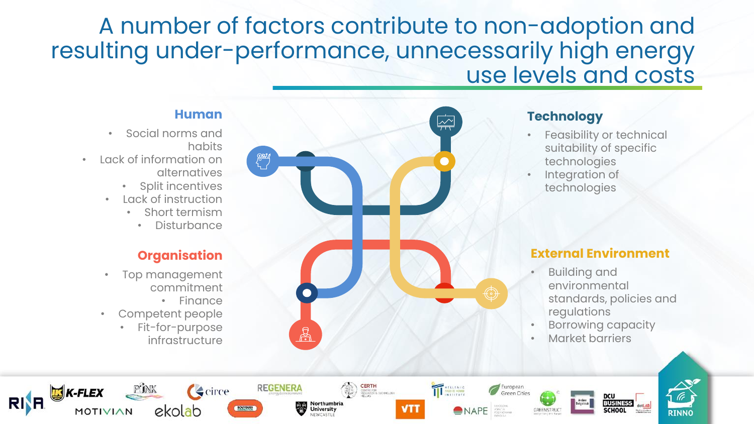## A number of factors contribute to non-adoption and resulting under-performance, unnecessarily high energy use levels and costs

#### **Human**

- Social norms and habits
- Lack of information on alternatives
	- **Split incentives**
	- Lack of instruction
		- Short termism
			- Disturbance

### **Organisation**

- Top management commitment
	- Finance

 $\blacktriangle$  circe

Competent people

K-FLEX

MOTIVIAN

**RISH** 

• Fit-for-purpose infrastructure



Northumbria<br>University

**REGENERA** 

TT MARK HOUSE

NAPE 200

**VTT** 

European<br>Green Cities

GREENSTRUC

### **Technology**

- Feasibility or technical suitability of specific technologies
- Integration of technologies

#### **External Environment**

• Building and environmental standards, policies and regulations

**BUSINESS** 

- Borrowing capacity
- Market barriers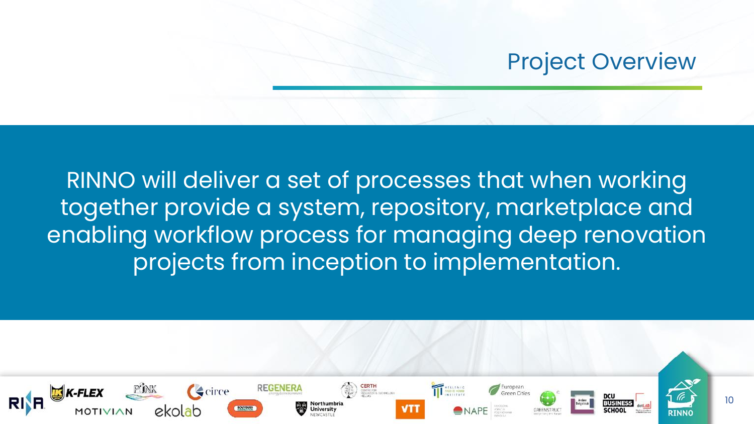## Project Overview

RINNO will deliver a set of processes that when working together provide a system, repository, marketplace and enabling workflow process for managing deep renovation projects from inception to implementation.

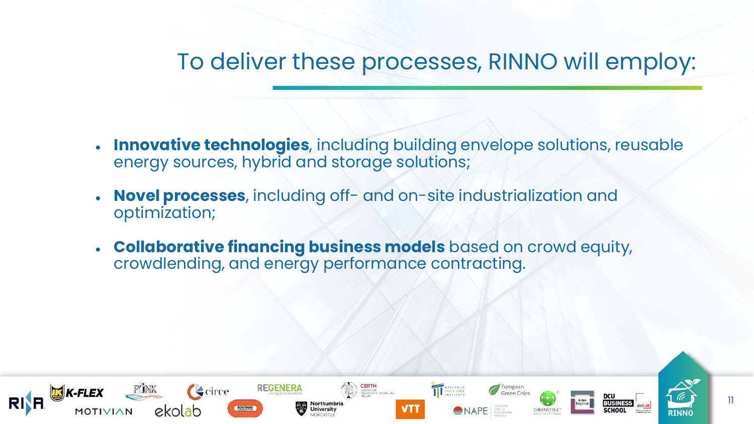## To deliver these processes, RINNO will employ:

- **Innovative technologies**, including building envelope solutions, reusable energy sources, hybrid and storage solutions;
- **Novel processes**, including off- and on-site industrialization and optimization;
- **Collaborative financing business models** based on crowd equity, crowdlending, and energy performance contracting.

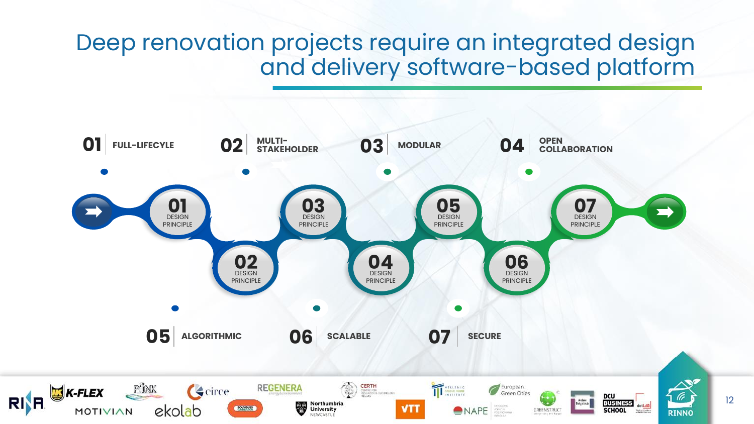## Deep renovation projects require an integrated design and delivery software-based platform

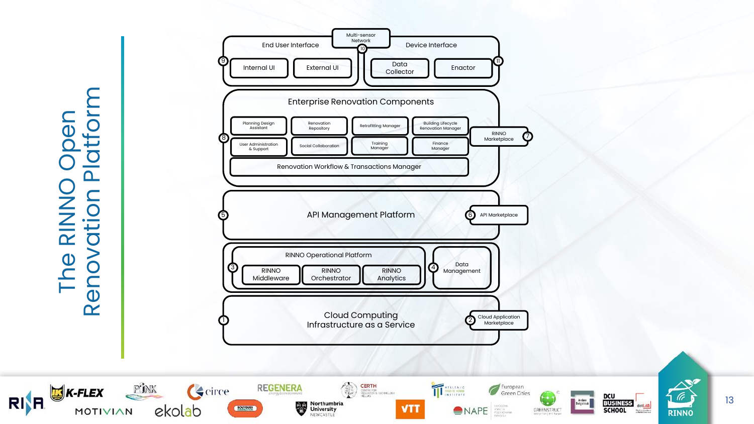Renovation Platform Platform The RINNO Open The RINNO Open ovation Ren

K-FLEX

**RISH** 

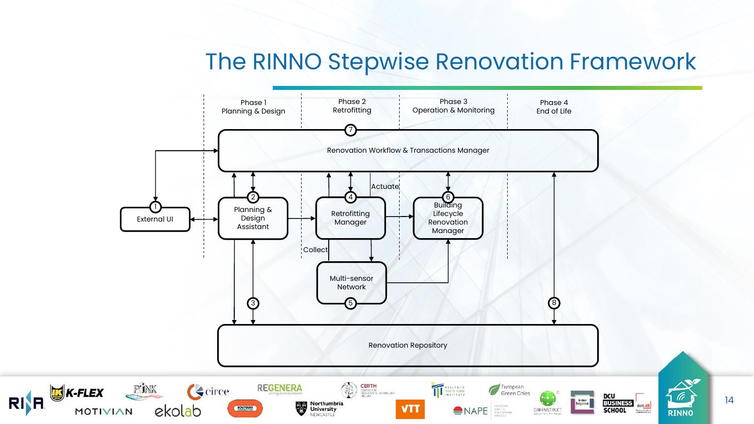## The RINNO Stepwise Renovation Framework



**RI**F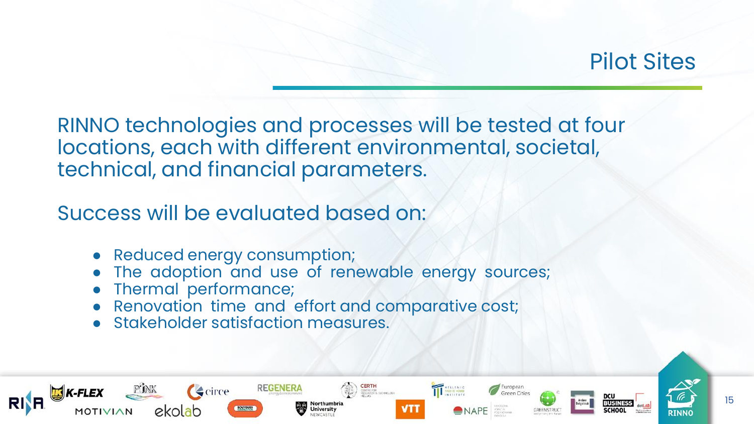## Pilot Sites

RINNO technologies and processes will be tested at four locations, each with different environmental, societal, technical, and financial parameters.

Success will be evaluated based on:

- Reduced energy consumption;
- The adoption and use of renewable energy sources;
- Thermal performance;
- Renovation time and effort and comparative cost;
- Stakeholder satisfaction measures.

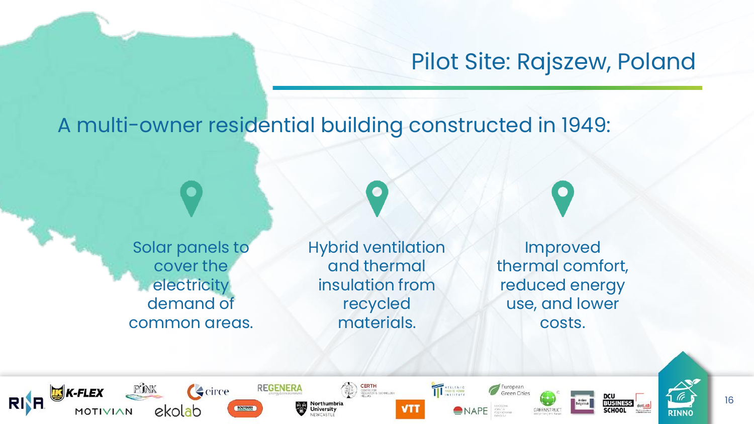### Pilot Site: Rajszew, Poland

### A multi-owner residential building constructed in 1949:

Solar panels to cover the electricity demand of common areas. Hybrid ventilation and thermal insulation from recycled materials.

Improved thermal comfort, reduced energy use, and lower costs.









**VTT** 





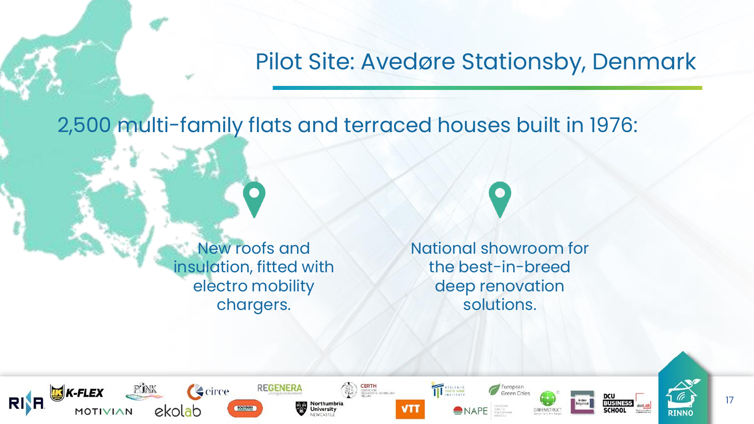### Pilot Site: Avedøre Stationsby, Denmark

2,500 multi-family flats and terraced houses built in 1976:

New roofs and insulation, fitted with electro mobility chargers.

National showroom for the best-in-breed deep renovation solutions.





**RINNC**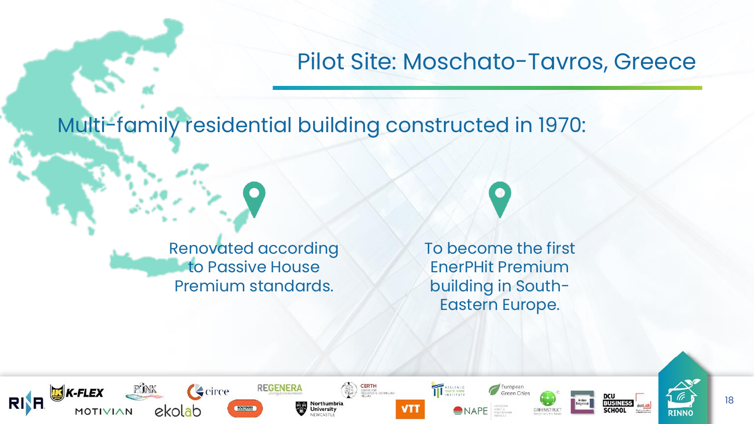### Pilot Site: Moschato-Tavros, Greece

Multi-family residential building constructed in 1970:

Renovated according to Passive House Premium standards.

To become the first EnerPHit Premium building in South-Eastern Europe.

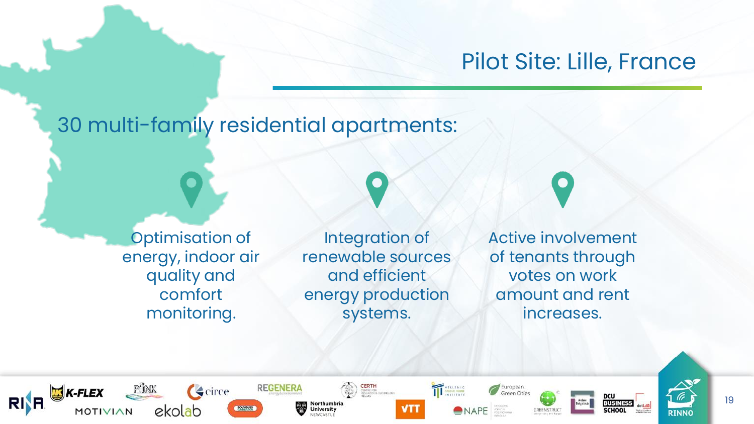## Pilot Site: Lille, France

### 30 multi-family residential apartments:

REGENERA

Optimisation of energy, indoor air quality and comfort monitoring.

 $\epsilon$  circe

ekolab

**K-FLEX** 

MOTIVIAN

**RI**F

Integration of renewable sources and efficient energy production systems.

**ERTH**<br>**ERTH** 

Northumbria<br>University

TT MARK HOUSE

**SNAPE** 

**VTT** 

European<br>Green Cities

GREENSTRUC

Active involvement of tenants through votes on work amount and rent increases.